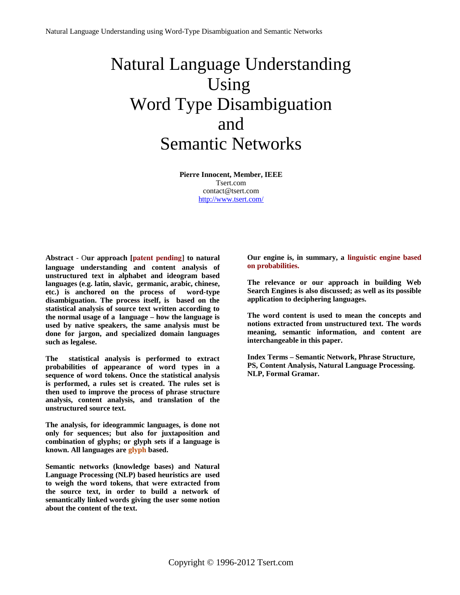## Natural Language Understanding Using Word Type Disambiguation and Semantic Networks

**Pierre Innocent, Member, IEEE** Tsert.com contact@tsert.com <http://www.tsert.com/>

**Abstract** - O**ur approach [**patent pending] **to natural language understanding and content analysis of unstructured text in alphabet and ideogram based languages (e.g. latin, slavic, germanic, arabic, chinese, etc.) is anchored on the process of word-type disambiguation. The process itself, is based on the statistical analysis of source text written according to the normal usage of a language – how the language is used by native speakers, the same analysis must be done for jargon, and specialized domain languages such as legalese.** 

**The statistical analysis is performed to extract probabilities of appearance of word types in a sequence of word tokens. Once the statistical analysis is performed, a rules set is created. The rules set is then used to improve the process of phrase structure analysis, content analysis, and translation of the unstructured source text.**

**The analysis, for ideogrammic languages, is done not only for sequences; but also for juxtaposition and combination of glyphs; or glyph sets if a language is known. All languages are glyph based.**

**Semantic networks (knowledge bases) and Natural Language Processing (NLP) based heuristics are used to weigh the word tokens, that were extracted from the source text, in order to build a network of semantically linked words giving the user some notion about the content of the text.**

**Our engine is, in summary, a linguistic engine based on probabilities.**

**The relevance or our approach in building Web Search Engines is also discussed; as well as its possible application to deciphering languages.**

**The word content is used to mean the concepts and notions extracted from unstructured text. The words meaning, semantic information, and content are interchangeable in this paper.**

**Index Terms – Semantic Network, Phrase Structure, PS, Content Analysis, Natural Language Processing. NLP, Formal Gramar.**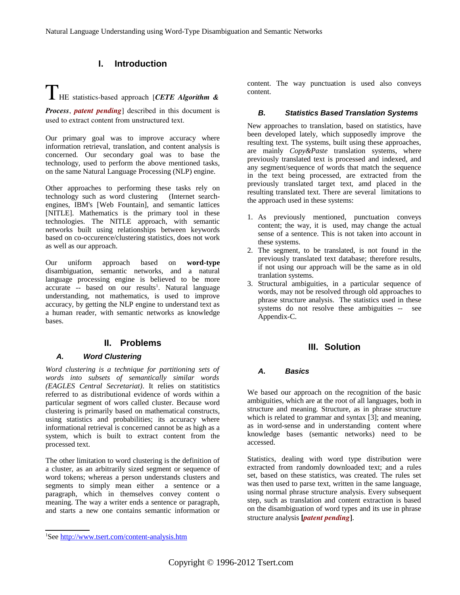## **I. Introduction**

# THE statisticsbased approach [*CETE Algorithm &*

*Process, patent pending* described in this document is used to extract content from unstructured text.

Our primary goal was to improve accuracy where information retrieval, translation, and content analysis is concerned. Our secondary goal was to base the technology, used to perform the above mentioned tasks, on the same Natural Language Processing (NLP) engine.

Other approaches to performing these tasks rely on technology such as word clustering (Internet searchengines, IBM's [Web Fountain], and semantic lattices [NITLE]. Mathematics is the primary tool in these technologies. The NITLE approach, with semantic networks built using relationships between keywords based on co-occurence/clustering statistics, does not work as well as our approach.

Our uniform approach based on **word-type** disambiguation, semantic networks, and a natural language processing engine is believed to be more accurate -- based on our results<sup>[1](#page-1-0)</sup>. Natural language understanding, not mathematics, is used to improve accuracy, by getting the NLP engine to understand text as a human reader, with semantic networks as knowledge bases.

## **II. Problems**

#### *A. Word Clustering*

*Word clustering is a technique for partitioning sets of words into subsets of semantically similar words (EAGLES Central Secretariat)*. It relies on statitistics referred to as distributional evidence of words within a particular segment of wors called cluster. Because word clustering is primarily based on mathematical constructs, using statistics and probabilities; its accuracy where informational retrieval is concerned cannot be as high as a system, which is built to extract content from the processed text.

The other limitation to word clustering is the definition of a cluster, as an arbitrarily sized segment or sequence of word tokens; whereas a person understands clusters and segments to simply mean either a sentence or a paragraph, which in themselves convey content o meaning. The way a writer ends a sentence or paragraph, and starts a new one contains semantic information or content. The way punctuation is used also conveys content.

#### *B. Statistics Based Translation Systems*

New approaches to translation, based on statistics, have been developed lately, which supposedly improve the resulting text. The systems, built using these approaches, are mainly *Copy&Paste* translation systems, where previously translated text is processed and indexed, and any segment/sequence of words that match the sequence in the text being processed, are extracted from the previously translated target text, amd placed in the resulting translated text. There are several limitations to the approach used in these systems:

- 1. As previously mentioned, punctuation conveys content; the way, it is used, may change the actual sense of a sentence. This is not taken into account in these systems.
- 2. The segment, to be translated, is not found in the previously translated text database; therefore results, if not using our approach will be the same as in old tranlation systems.
- 3. Structural ambiguities, in a particular sequence of words, may not be resolved through old approaches to phrase structure analysis. The statistics used in these systems do not resolve these ambiguities -- see Appendix-C.

## **III. Solution**

#### *A. Basics*

We based our approach on the recognition of the basic ambiguities, which are at the root of all languages, both in structure and meaning. Structure, as in phrase structure which is related to grammar and syntax [3]; and meaning, as in word-sense and in understanding content where knowledge bases (semantic networks) need to be accessed.

Statistics, dealing with word type distribution were extracted from randomly downloaded text; and a rules set, based on these statistics, was created. The rules set was then used to parse text, written in the same language, using normal phrase structure analysis. Every subsequent step, such as translation and content extraction is based on the disambiguation of word types and its use in phrase structure analysis **[***patent pending*].

<span id="page-1-0"></span><sup>&</sup>lt;sup>1</sup>See<http://www.tsert.com/content-analysis.htm>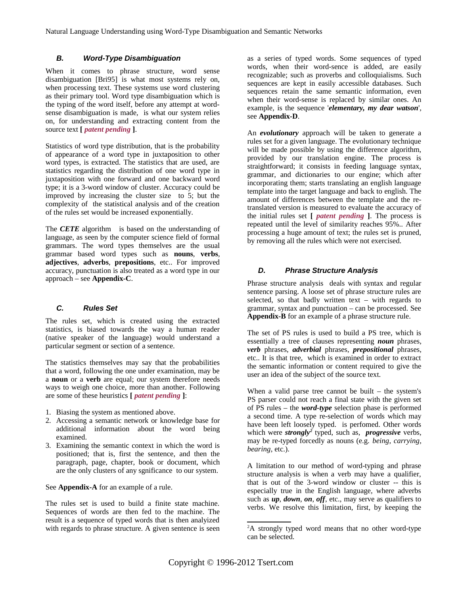#### *B. Word-Type Disambiguation*

When it comes to phrase structure, word sense disambiguation [Bri95] is what most systems rely on, when processing text. These systems use word clustering as their primary tool. Word type disambiguation which is the typing of the word itself, before any attempt at wordsense disambiguation is made, is what our system relies on, for understanding and extracting content from the source text **[** *patent pending* **]**.

Statistics of word type distribution, that is the probability of appearance of a word type in juxtaposition to other word types, is extracted. The statistics that are used, are statistics regarding the distribution of one word type in juxtaposition with one forward and one backward word type; it is a 3-word window of cluster. Accuracy could be improved by increasing the cluster size to 5; but the complexity of the statistical analysis and of the creation of the rules set would be increased exponentially.

The *CETE* algorithm is based on the understanding of language, as seen by the computer science field of formal grammars. The word types themselves are the usual grammar based word types such as **nouns**, **verbs**, **adjectives**, **adverbs**, **prepositions**, etc.. For improved accuracy, punctuation is also treated as a word type in our approach – see **Appendix-C**.

#### *C. Rules Set*

The rules set, which is created using the extracted statistics, is biased towards the way a human reader (native speaker of the language) would understand a particular segment or section of a sentence.

The statistics themselves may say that the probabilities that a word, following the one under examination, may be a **noun** or a **verb** are equal; our system therefore needs ways to weigh one choice, more than another. Following are some of these heuristics **[** *patent pending* **]**:

- 1. Biasing the system as mentioned above.
- 2. Accessing a semantic network or knowledge base for additional information about the word being examined.
- 3. Examining the semantic context in which the word is positioned; that is, first the sentence, and then the paragraph, page, chapter, book or document, which are the only clusters of any sgnificance to our system.

See **Appendix-A** for an example of a rule.

The rules set is used to build a finite state machine. Sequences of words are then fed to the machine. The result is a sequence of typed words that is then analyized with regards to phrase structure. A given sentence is seen as a series of typed words. Some sequences of typed words, when their word-sence is added, are easily recognizable; such as proverbs and colloquialisms. Such sequences are kept in easily accessible databases. Such sequences retain the same semantic information, even when their word-sense is replaced by similar ones. An example, is the sequence '*elementary, my dear watson*', see **Appendix-D**.

An *evolutionary* approach will be taken to generate a rules set for a given language. The evolutionary technique will be made possible by using the difference algorithm, provided by our translation engine. The process is straightforward; it consists in feeding language syntax, grammar, and dictionaries to our engine; which after incorporating them; starts translating an english language template into the target language and back to english. The amount of differences between the template and the retranslated version is measured to evaluate the accuracy of the initial rules set **[** *patent pending* **]**. The process is repeated until the level of similarity reaches 95%.. After processing a huge amount of text; the rules set is pruned, by removing all the rules which were not exercised.

#### *D. Phrase Structure Analysis*

Phrase structure analysis deals with syntax and regular sentence parsing. A loose set of phrase structure rules are selected, so that badly written text  $-$  with regards to grammar, syntax and punctuation – can be processed. See **Appendix-B** for an example of a phrase structure rule.

The set of PS rules is used to build a PS tree, which is essentially a tree of clauses representing *noun* phrases, *verb* phrases, *adverbial* phrases, *prepositional* phrases, etc.. It is that tree, which is examined in order to extract the semantic information or content required to give the user an idea of the subject of the source text.

When a valid parse tree cannot be built  $-$  the system's PS parser could not reach a final state with the given set of PS rules – the *word-type* selection phase is performed a second time. A type re-selection of words which may have been left loosely typed. is perfomed. Other words which were *strongly[2](#page-2-0)* typed, such as, *progressive* verbs, may be re-typed forcedly as nouns (e.g. *being*, *carrying*, *bearing*, etc.).

A limitation to our method of word-typing and phrase structure analysis is when a verb may have a qualifier, that is out of the 3-word window or cluster -- this is especially true in the English language, where adverbs such as *up*, *down*, *on*, *off*, etc., may serve as qualifiers to verbs. We resolve this limitation, first, by keeping the

<span id="page-2-0"></span><sup>2</sup>A strongly typed word means that no other word-type can be selected.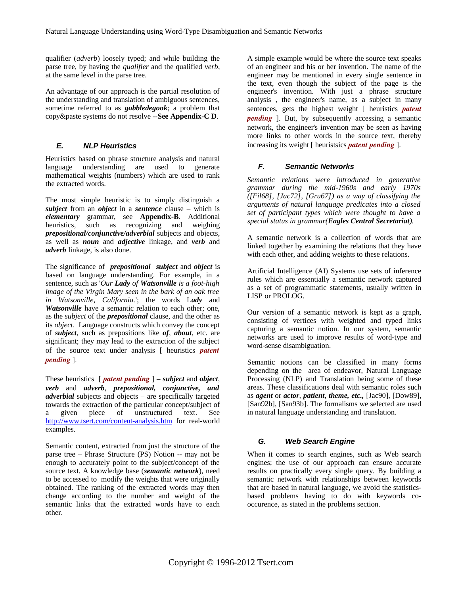qualifier (*adverb*) loosely typed; and while building the parse tree, by having the *qualifier* and the qualified *verb*, at the same level in the parse tree.

An advantage of our approach is the partial resolution of the understanding and translation of ambiguous sentences, sometime referred to as *gobbledegook*; a problem that copy&paste systems do not resolve --**See Appendix-C D**.

#### *E. NLP Heuristics*

Heuristics based on phrase structure analysis and natural language understanding are used to generate mathematical weights (numbers) which are used to rank the extracted words.

The most simple heuristic is to simply distinguish a *subject* from an *object* in a *sentence* clause – which is *elementary* grammar, see **Appendix-B**. Additional heuristics, such as recognizing and weighing *prepositional/conjunctive/adverbial* subjects and objects, as well as *noun* and *adjective* linkage, and *verb* and *adverb* linkage, is also done.

The significance of *prepositional subject* and *object* is based on language understanding. For example, in a sentence, such as '*Our Lady of Watsonville is a foot-high image of the Virgin Mary seen in the bark of an oak tree in Watsonville, California.*'; the words L*ady* and *Watsonville* have a semantic relation to each other; one, as the *subject* of the *prepositional* clause, and the other as its *object*. Language constructs which convey the concept of *subject*, such as prepositions like *of*, *about*, etc. are significant; they may lead to the extraction of the subject of the source text under analysis [ heuristics *patent pending* ].

These heuristics [ *patent pending* ] – *subject* and *object*, *verb* and *adverb*, *prepositional, conjunctive, and adverbial* subjects and objects – are specifically targeted towards the extraction of the particular concept/subject of a given piece of unstructured text. See [http://www.tsert.com/content-analysis.htm](http://www.tsert.com/content-analysis) for real-world examples.

Semantic content, extracted from just the structure of the parse tree – Phrase Structure (PS) Notion -- may not be enough to accurately point to the subject/concept of the source text. A knowledge base (*semantic network*), need to be accessed to modify the weights that were originally obtained. The ranking of the extracted words may then change according to the number and weight of the semantic links that the extracted words have to each other.

A simple example would be where the source text speaks of an engineer and his or her invention. The name of the engineer may be mentioned in every single sentence in the text, even though the subject of the page is the engineer's invention. With just a phrase structure analysis , the engineer's name, as a subject in many sentences, gets the highest weight [ heuristics *patent pending* ]. But, by subsequently accessing a semantic network, the engineer's invention may be seen as having more links to other words in the source text, thereby increasing its weight [ heuristsics *patent pending* ].

#### *F. Semantic Networks*

*Semantic relations were introduced in generative grammar during the mid-1960s and early 1970s ([Fil68], [Jac72], [Gru67]) as a way of classifying the arguments of natural language predicates into a closed set of participant types which were thought to have a special status in grammar(Eagles Central Secretariat).*

A semantic network is a collection of words that are linked together by examining the relations that they have with each other, and adding weights to these relations.

Artificial Intelligence (AI) Systems use sets of inference rules which are essentially a semantic network captured as a set of programmatic statements, usually written in LISP or PROLOG.

Our version of a semantic network is kept as a graph, consisting of vertices with weighted and typed links capturing a semantic notion. In our system, semantic networks are used to improve results of word-type and word-sense disambiguation.

Semantic notions can be classified in many forms depending on the area of endeavor, Natural Language Processing (NLP) and Translation being some of these areas. These classifications deal with semantic roles such as *agent* or *actor*, *patient*, *theme, etc.,* [Jac90], [Dow89], [San92b], [San93b]. The formalisms we selected are used in natural language understanding and translation.

#### *G. Web Search Engine*

When it comes to search engines, such as Web search engines; the use of our approach can ensure accurate results on practically every single query. By building a semantic network with relationships between keywords that are based in natural language, we avoid the statisticsbased problems having to do with keywords cooccurence, as stated in the problems section.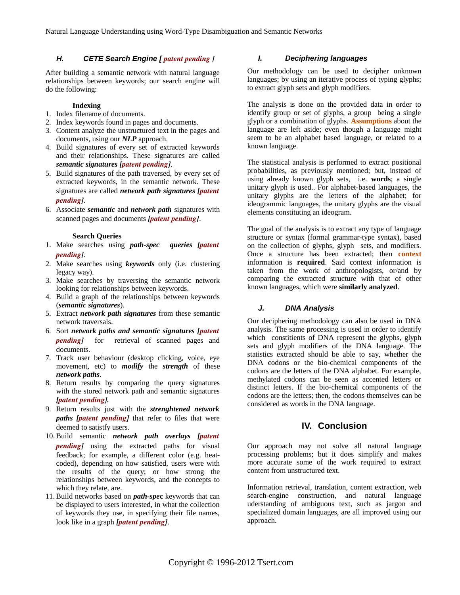#### *H. CETE Search Engine [ patent pending ]*

After building a semantic network with natural language relationships between keywords; our search engine will do the following:

#### **Indexing**

- 1. Index filename of documents.
- 2. Index keywords found in pages and documents.
- 3. Content analyze the unstructured text in the pages and documents, using our *NLP* approach.
- 4. Build signatures of every set of extracted keywords and their relationships. These signatures are called *semantic signatures [patent pending]*.
- 5. Build signatures of the path traversed, by every set of extracted keywords, in the semantic network. These signatures are called *network path signatures [patent pending]*.
- 6. Associate *semantic* and *network path* signatures with scanned pages and documents *[patent pending]*.

#### **Search Queries**

- 1. Make searches using *path-spec queries [patent pending]*.
- 2. Make searches using *keywords* only (i.e. clustering legacy way).
- 3. Make searches by traversing the semantic network looking for relationships between keywords.
- 4. Build a graph of the relationships between keywords (*semantic signatures*).
- 5. Extract *network path signatures* from these semantic network traversals.
- 6. Sort *network paths and semantic signatures [patent pending* for retrieval of scanned pages and documents.
- 7. Track user behaviour (desktop clicking, voice, eye movement, etc) to *modify* the *strength* of these *network paths*.
- 8. Return results by comparing the query signatures with the stored network path and semantic signatures *[patent pending].*
- 9. Return results just with the *strenghtened network paths* [*patent pending*] that refer to files that were deemed to satistfy users.
- 10. Build semantic *network path overlays [patent pending]* using the extracted paths for visual feedback; for example, a different color (e.g. heatcoded), depending on how satisfied, users were with the results of the query; or how strong the relationships between keywords, and the concepts to which they relate, are.
- 11. Build networks based on *path-spe***c** keywords that can be displayed to users interested, in what the collection of keywords they use, in specifying their file names, look like in a graph *[patent pending]*.

#### *I. Deciphering languages*

Our methodology can be used to decipher unknown languages; by using an iterative process of typing glyphs; to extract glyph sets and glyph modifiers.

The analysis is done on the provided data in order to identify group or set of glyphs, a group being a single glyph or a combination of glyphs. **Assumptions** about the language are left aside; even though a language might seem to be an alphabet based language, or related to a known language.

The statistical analysis is performed to extract positional probabilities, as previously mentioned; but, instead of using already known glyph sets, i.e. **words**; a single unitary glyph is used.. For alphabet-based languages, the unitary glyphs are the letters of the alphabet; for ideogrammic languages, the unitary glyphs are the visual elements constituting an ideogram.

The goal of the analysis is to extract any type of language structure or syntax (formal grammar-type syntax), based on the collection of glyphs, glyph sets, and modifiers. Once a structure has been extracted; then **context** information is **required**. Said context information is taken from the work of anthropologists, or/and by comparing the extracted structure with that of other known languages, which were **similarly analyzed**.

#### *J. DNA Analysis*

Our deciphering methodology can also be used in DNA analysis. The same processing is used in order to identify which constitients of DNA represent the glyphs, glyph sets and glyph modifiers of the DNA language. The statistics extracted should be able to say, whether the DNA codons or the bio-chemical components of the codons are the letters of the DNA alphabet. For example, methylated codons can be seen as accented letters or distinct letters. If the bio-chemical components of the codons are the letters; then, the codons themselves can be considered as words in the DNA language.

## **IV. Conclusion**

Our approach may not solve all natural language processing problems; but it does simplify and makes more accurate some of the work required to extract content from unstructured text.

Information retrieval, translation, content extraction, web search-engine construction, and natural language uderstanding of ambiguous text, such as jargon and specialized domain languages, are all improved using our approach.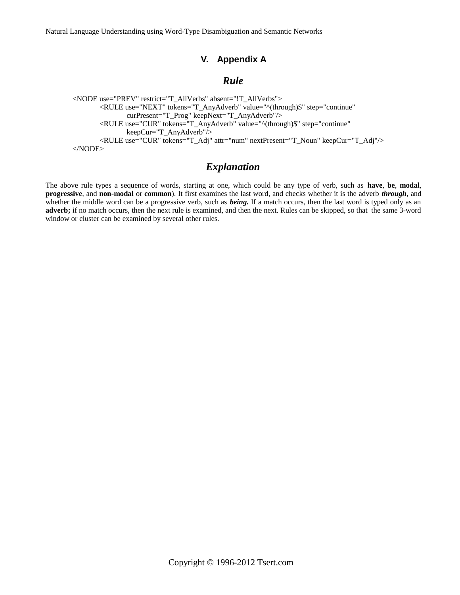Natural Language Understanding using Word-Type Disambiguation and Semantic Networks

## **V. Appendix A**

## *Rule*

<NODE use="PREV" restrict="T\_AllVerbs" absent="!T\_AllVerbs"> <RULE use="NEXT" tokens="T\_AnyAdverb" value="^(through)\$" step="continue" curPresent="T\_Prog" keepNext="T\_AnyAdverb"/> <RULE use="CUR" tokens="T\_AnyAdverb" value="^(through)\$" step="continue" keepCur="T\_AnyAdverb"/> <RULE use="CUR" tokens="T\_Adj" attr="num" nextPresent="T\_Noun" keepCur="T\_Adj"/> </NODE>

## *Explanation*

The above rule types a sequence of words, starting at one, which could be any type of verb, such as **have**, **be**, **modal**, **progressive**, and **non-modal** or **common**). It first examines the last word, and checks whether it is the adverb *through*, and whether the middle word can be a progressive verb, such as *being.* If a match occurs, then the last word is typed only as an **adverb;** if no match occurs, then the next rule is examined, and then the next. Rules can be skipped, so that the same 3-word window or cluster can be examined by several other rules.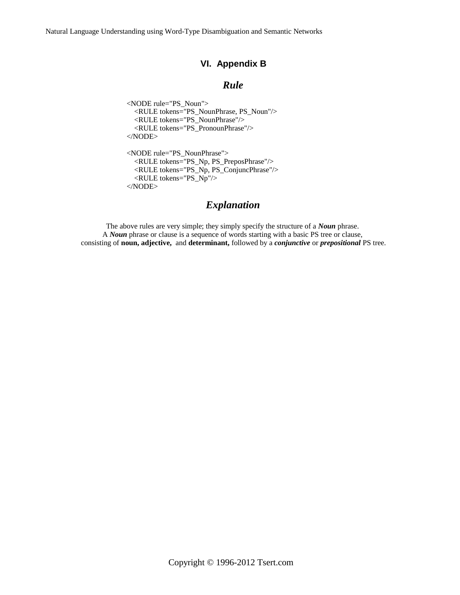Natural Language Understanding using Word-Type Disambiguation and Semantic Networks

## **VI. Appendix B**

## *Rule*

<NODE rule="PS\_Noun"> <RULE tokens="PS\_NounPhrase, PS\_Noun"/> <RULE tokens="PS\_NounPhrase"/> <RULE tokens="PS\_PronounPhrase"/> </NODE> <NODE rule="PS\_NounPhrase"> <RULE tokens="PS\_Np, PS\_PreposPhrase"/> <RULE tokens="PS\_Np, PS\_ConjuncPhrase"/> <RULE tokens="PS\_Np"/> </NODE>

## *Explanation*

The above rules are very simple; they simply specify the structure of a *Noun* phrase. A *Noun* phrase or clause is a sequence of words starting with a basic PS tree or clause, consisting of **noun, adjective,** and **determinant,** followed by a *conjunctive* or *prepositional* PS tree.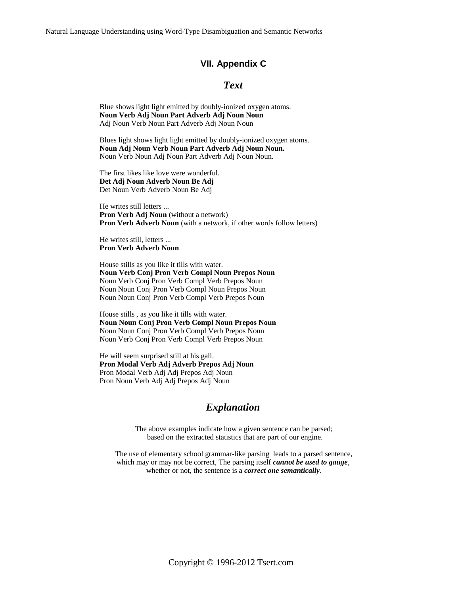Natural Language Understanding using Word-Type Disambiguation and Semantic Networks

#### **VII. Appendix C**

## *Text*

Blue shows light light emitted by doubly-ionized oxygen atoms. **Noun Verb Adj Noun Part Adverb Adj Noun Noun** Adj Noun Verb Noun Part Adverb Adj Noun Noun

Blues light shows light light emitted by doubly-ionized oxygen atoms. **Noun Adj Noun Verb Noun Part Adverb Adj Noun Noun.** Noun Verb Noun Adj Noun Part Adverb Adj Noun Noun.

The first likes like love were wonderful. **Det Adj Noun Adverb Noun Be Adj** Det Noun Verb Adverb Noun Be Adj

He writes still letters ... **Pron Verb Adj Noun** (without a network) **Pron Verb Adverb Noun** (with a network, if other words follow letters)

He writes still, letters ... **Pron Verb Adverb Noun**

House stills as you like it tills with water. **Noun Verb Conj Pron Verb Compl Noun Prepos Noun** Noun Verb Conj Pron Verb Compl Verb Prepos Noun Noun Noun Conj Pron Verb Compl Noun Prepos Noun Noun Noun Conj Pron Verb Compl Verb Prepos Noun

House stills , as you like it tills with water. **Noun Noun Conj Pron Verb Compl Noun Prepos Noun** Noun Noun Conj Pron Verb Compl Verb Prepos Noun Noun Verb Conj Pron Verb Compl Verb Prepos Noun

He will seem surprised still at his gall. **Pron Modal Verb Adj Adverb Prepos Adj Noun** Pron Modal Verb Adj Adj Prepos Adj Noun Pron Noun Verb Adj Adj Prepos Adj Noun

#### *Explanation*

The above examples indicate how a given sentence can be parsed; based on the extracted statistics that are part of our engine.

The use of elementary school grammar-like parsing leads to a parsed sentence, which may or may not be correct, The parsing itself *cannot be used to gauge*, whether or not, the sentence is a *correct one semantically*.